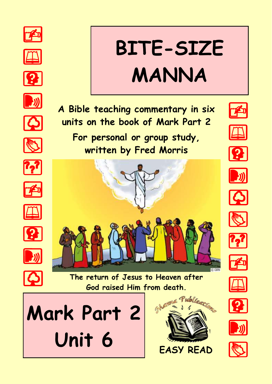





















# **BITE-SIZE MANNA**



**For personal or group study, written by Fred Morris**

















**The return of Jesus to Heaven after God raised Him from death.**

**Mark Part 2**  Unit 6 **EASY READ** 









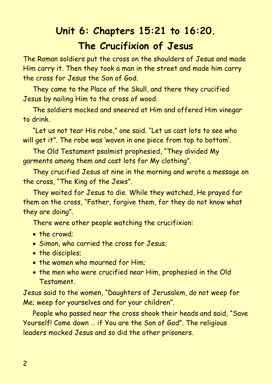## **Unit 6: Chapters 15:21 to 16:20. The Crucifixion of Jesus**

The Roman soldiers put the cross on the shoulders of Jesus and made Him carry it. Then they took a man in the street and made him carry the cross for Jesus the Son of God.

They came to the Place of the Skull, and there they crucified Jesus by nailing Him to the cross of wood.

The soldiers mocked and sneered at Him and offered Him vinegar to drink.

"Let us not tear His robe," one said. "Let us cast lots to see who will get it". The robe was 'woven in one piece from top to bottom'.

The Old Testament psalmist prophesied, "They divided My garments among them and cast lots for My clothing".

They crucified Jesus at nine in the morning and wrote a message on the cross, "The King of the Jews".

They waited for Jesus to die. While they watched, He prayed for them on the cross, "Father, forgive them, for they do not know what they are doing".

There were other people watching the crucifixion:

- the crowd:
- Simon, who carried the cross for Jesus;
- the disciples;
- the women who mourned for Him:
- the men who were crucified near Him, prophesied in the Old Testament.

Jesus said to the women, "Daughters of Jerusalem, do not weep for Me; weep for yourselves and for your children".

People who passed near the cross shook their heads and said, "Save Yourself! Come down … if You are the Son of God". The religious leaders mocked Jesus and so did the other prisoners.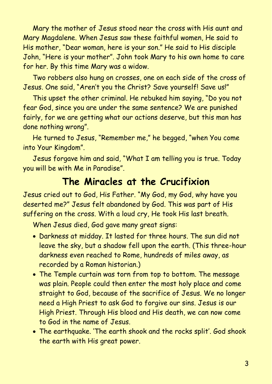Mary the mother of Jesus stood near the cross with His aunt and Mary Magdalene. When Jesus saw these faithful women, He said to His mother, "Dear woman, here is your son." He said to His disciple John, "Here is your mother". John took Mary to his own home to care for her. By this time Mary was a widow.

Two robbers also hung on crosses, one on each side of the cross of Jesus. One said, "Aren't you the Christ? Save yourself! Save us!"

This upset the other criminal. He rebuked him saying, "Do you not fear God, since you are under the same sentence? We are punished fairly, for we are getting what our actions deserve, but this man has done nothing wrong".

He turned to Jesus, "Remember me," he begged, "when You come into Your Kingdom".

Jesus forgave him and said, "What I am telling you is true. Today you will be with Me in Paradise".

#### **The Miracles at the Crucifixion**

Jesus cried out to God, His Father. "My God, my God, why have you deserted me?" Jesus felt abandoned by God. This was part of His suffering on the cross. With a loud cry, He took His last breath.

When Jesus died, God gave many great signs:

- Darkness at midday. It lasted for three hours. The sun did not leave the sky, but a shadow fell upon the earth. (This three-hour darkness even reached to Rome, hundreds of miles away, as recorded by a Roman historian.)
- The Temple curtain was torn from top to bottom. The message was plain. People could then enter the most holy place and come straight to God, because of the sacrifice of Jesus. We no longer need a High Priest to ask God to forgive our sins. Jesus is our High Priest. Through His blood and His death, we can now come to God in the name of Jesus.
- The earthquake. 'The earth shook and the rocks split'. God shook the earth with His great power.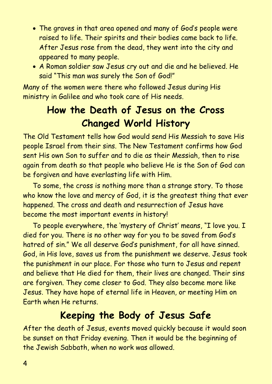- The graves in that area opened and many of God's people were raised to life. Their spirits and their bodies came back to life. After Jesus rose from the dead, they went into the city and appeared to many people.
- A Roman soldier saw Jesus cry out and die and he believed. He said "This man was surely the Son of God!"

Many of the women were there who followed Jesus during His ministry in Galilee and who took care of His needs.

## **How the Death of Jesus on the Cross Changed World History**

The Old Testament tells how God would send His Messiah to save His people Israel from their sins. The New Testament confirms how God sent His own Son to suffer and to die as their Messiah, then to rise again from death so that people who believe He is the Son of God can be forgiven and have everlasting life with Him.

To some, the cross is nothing more than a strange story. To those who know the love and mercy of God, it is the greatest thing that ever happened. The cross and death and resurrection of Jesus have become the most important events in history!

To people everywhere, the 'mystery of Christ' means, "I love you. I died for you. There is no other way for you to be saved from God's hatred of sin." We all deserve God's punishment, for all have sinned. God, in His love, saves us from the punishment we deserve. Jesus took the punishment in our place. For those who turn to Jesus and repent and believe that He died for them, their lives are changed. Their sins are forgiven. They come closer to God. They also become more like Jesus. They have hope of eternal life in Heaven, or meeting Him on Earth when He returns.

#### **Keeping the Body of Jesus Safe**

After the death of Jesus, events moved quickly because it would soon be sunset on that Friday evening. Then it would be the beginning of the Jewish Sabbath, when no work was allowed.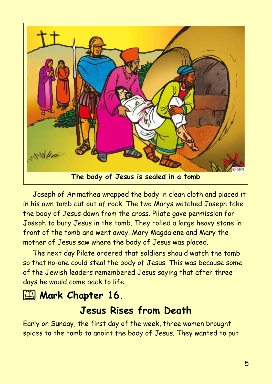

Joseph of Arimathea wrapped the body in clean cloth and placed it in his own tomb cut out of rock. The two Marys watched Joseph take the body of Jesus down from the cross. Pilate gave permission for Joseph to bury Jesus in the tomb. They rolled a large heavy stone in front of the tomb and went away. Mary Magdalene and Mary the mother of Jesus saw where the body of Jesus was placed.

The next day Pilate ordered that soldiers should watch the tomb so that no-one could steal the body of Jesus. This was because some of the Jewish leaders remembered Jesus saying that after three days he would come back to life.

### **2 Mark Chapter 16.**

#### **Jesus Rises from Death**

Early on Sunday, the first day of the week, three women brought spices to the tomb to anoint the body of Jesus. They wanted to put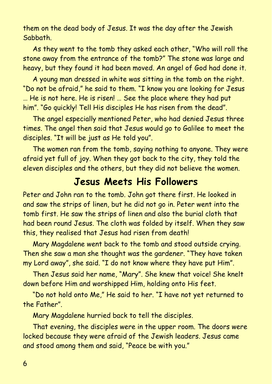them on the dead body of Jesus. It was the day after the Jewish Sabbath.

As they went to the tomb they asked each other, "Who will roll the stone away from the entrance of the tomb?" The stone was large and heavy, but they found it had been moved. An angel of God had done it.

A young man dressed in white was sitting in the tomb on the right. "Do not be afraid," he said to them. "I know you are looking for Jesus … He is not here. He is risen! … See the place where they had put him". "Go quickly! Tell His disciples He has risen from the dead".

The angel especially mentioned Peter, who had denied Jesus three times. The angel then said that Jesus would go to Galilee to meet the disciples. "It will be just as He told you".

The women ran from the tomb, saying nothing to anyone. They were afraid yet full of joy. When they got back to the city, they told the eleven disciples and the others, but they did not believe the women.

#### **Jesus Meets His Followers**

Peter and John ran to the tomb. John got there first. He looked in and saw the strips of linen, but he did not go in. Peter went into the tomb first. He saw the strips of linen and also the burial cloth that had been round Jesus. The cloth was folded by itself. When they saw this, they realised that Jesus had risen from death!

Mary Magdalene went back to the tomb and stood outside crying. Then she saw a man she thought was the gardener. "They have taken my Lord away", she said. "I do not know where they have put Him".

Then Jesus said her name, "Mary". She knew that voice! She knelt down before Him and worshipped Him, holding onto His feet.

"Do not hold onto Me," He said to her. "I have not yet returned to the Father".

Mary Magdalene hurried back to tell the disciples.

That evening, the disciples were in the upper room. The doors were locked because they were afraid of the Jewish leaders. Jesus came and stood among them and said, "Peace be with you."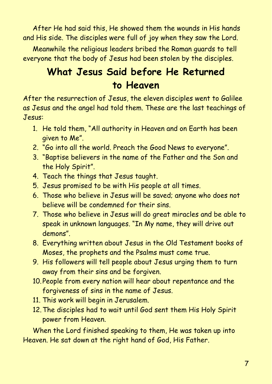After He had said this, He showed them the wounds in His hands and His side. The disciples were full of joy when they saw the Lord.

Meanwhile the religious leaders bribed the Roman guards to tell everyone that the body of Jesus had been stolen by the disciples.

## **What Jesus Said before He Returned to Heaven**

After the resurrection of Jesus, the eleven disciples went to Galilee as Jesus and the angel had told them. These are the last teachings of Jesus:

- 1. He told them, "All authority in Heaven and on Earth has been given to Me".
- 2. "Go into all the world. Preach the Good News to everyone".
- 3. "Baptise believers in the name of the Father and the Son and the Holy Spirit".
- 4. Teach the things that Jesus taught.
- 5. Jesus promised to be with His people at all times.
- 6. Those who believe in Jesus will be saved; anyone who does not believe will be condemned for their sins.
- 7. Those who believe in Jesus will do great miracles and be able to speak in unknown languages. "In My name, they will drive out demons".
- 8. Everything written about Jesus in the Old Testament books of Moses, the prophets and the Psalms must come true.
- 9. His followers will tell people about Jesus urging them to turn away from their sins and be forgiven.
- 10.People from every nation will hear about repentance and the forgiveness of sins in the name of Jesus.
- 11. This work will begin in Jerusalem.
- 12.The disciples had to wait until God sent them His Holy Spirit power from Heaven.

When the Lord finished speaking to them, He was taken up into Heaven. He sat down at the right hand of God, His Father.